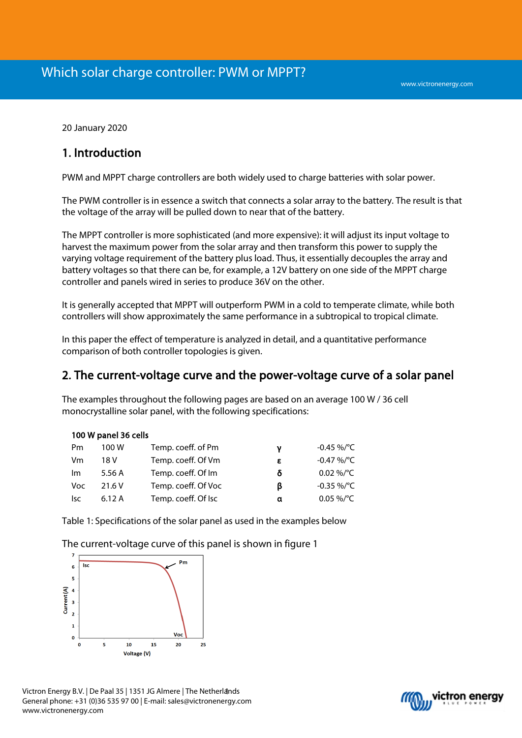20 January 2020

# 1. Introduction

PWM and MPPT charge controllers are both widely used to charge batteries with solar power.

The PWM controller is in essence a switch that connects a solar array to the battery. The result is that the voltage of the array will be pulled down to near that of the battery.

The MPPT controller is more sophisticated (and more expensive): it will adjust its input voltage to harvest the maximum power from the solar array and then transform this power to supply the varying voltage requirement of the battery plus load. Thus, it essentially decouples the array and battery voltages so that there can be, for example, a 12V battery on one side of the MPPT charge controller and panels wired in series to produce 36V on the other.

It is generally accepted that MPPT will outperform PWM in a cold to temperate climate, while both controllers will show approximately the same performance in a subtropical to tropical climate.

In this paper the effect of temperature is analyzed in detail, and a quantitative performance comparison of both controller topologies is given.

# 2. The current-voltage curve and the power-voltage curve of a solar panel

The examples throughout the following pages are based on an average 100 W / 36 cell monocrystalline solar panel, with the following specifications:

|  |  |  | 100 W panel 36 cells |
|--|--|--|----------------------|
|--|--|--|----------------------|

| Pm  | 100 W  | Temp. coeff. of Pm  | ν | -0.45 %/°C     |
|-----|--------|---------------------|---|----------------|
| Vm  | 18 V   | Temp. coeff. Of Vm  | ε | $-0.47\%$ /°C  |
| Im. | 5.56 A | Temp. coeff. Of Im  | δ | $0.02\%$ /°C   |
| Voc | 21.6 V | Temp. coeff. Of Voc | β | $-0.35 \%$ /°C |
| lsc | 6.12 A | Temp. coeff. Of Isc | α | $0.05\%$ /°C   |

Table 1: Specifications of the solar panel as used in the examples below

The current-voltage curve of this panel is shown in figure 1



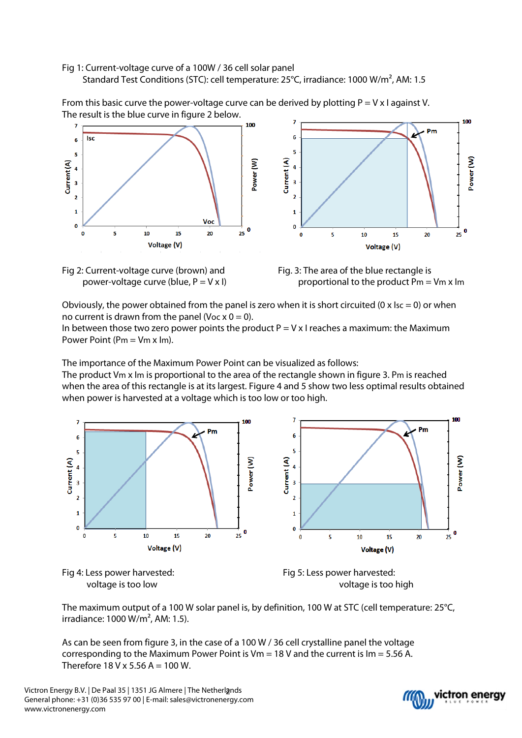### Fig 1: Current-voltage curve of a 100W / 36 cell solar panel Standard Test Conditions (STC): cell temperature: 25°C, irradiance: 1000 W/m², AM: 1.5

From this basic curve the power-voltage curve can be derived by plotting  $P = V \times I$  against V.

The result is the blue curve in figure 2 below. 100  $\overline{7}$  $100$ Pm **Isc** 6  $\epsilon$ 5  $\overline{\mathbf{5}}$ Power (W) Current (A) Current (A) Power (W)  $\overline{4}$  $\overline{a}$  $\overline{\mathbf{3}}$  $\overline{\mathbf{3}}$  $\overline{2}$  $\overline{2}$  $\mathbf{1}$  $\mathbf{1}$ Voc  $\pmb{\mathsf{o}}$  $\mathbf 0$  $\frac{1}{25}$  0  $\frac{1}{25}$  0  $\Omega$ s 10 15 20  $10<sup>10</sup>$ 15  $\overline{20}$ s  $\mathbf{0}$ Voltage (V) Voltage (V)





Obviously, the power obtained from the panel is zero when it is short circuited (0 x  $\text{Isc} = 0$ ) or when no current is drawn from the panel (Voc  $x = 0$ ).

In between those two zero power points the product  $P = V x$  I reaches a maximum: the Maximum Power Point ( $Pm = Vm x Im$ ).

The importance of the Maximum Power Point can be visualized as follows:

The product Vm x Im is proportional to the area of the rectangle shown in figure 3. Pm is reached when the area of this rectangle is at its largest. Figure 4 and 5 show two less optimal results obtained when power is harvested at a voltage which is too low or too high.







The maximum output of a 100 W solar panel is, by definition, 100 W at STC (cell temperature: 25°C, irradiance: 1000 W/m², AM: 1.5).

As can be seen from figure 3, in the case of a 100 W / 36 cell crystalline panel the voltage corresponding to the Maximum Power Point is  $Vm = 18$  V and the current is  $Im = 5.56$  A. Therefore  $18$  V x 5.56 A = 100 W.

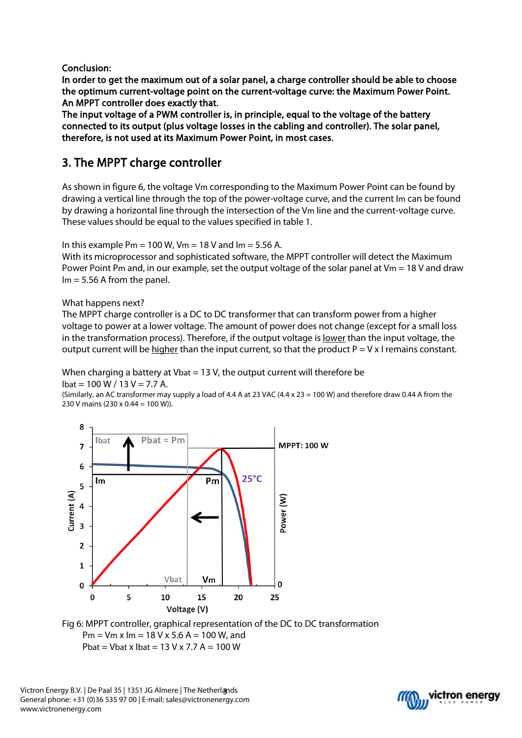Conclusion:

In order to get the maximum out of a solar panel, a charge controller should be able to choose the optimum current-voltage point on the current-voltage curve: the Maximum Power Point. An MPPT controller does exactly that.

The input voltage of a PWM controller is, in principle, equal to the voltage of the battery connected to its output (plus voltage losses in the cabling and controller). The solar panel, therefore, is not used at its Maximum Power Point, in most cases.

# 3. The MPPT charge controller

As shown in figure 6, the voltage Vm corresponding to the Maximum Power Point can be found by drawing a vertical line through the top of the power-voltage curve, and the current Im can be found by drawing a horizontal line through the intersection of the Vm line and the current-voltage curve. These values should be equal to the values specified in table 1.

In this example  $Pm = 100$  W,  $Vm = 18$  V and  $Im = 5.56$  A.

With its microprocessor and sophisticated software, the MPPT controller will detect the Maximum Power Point Pm and, in our example, set the output voltage of the solar panel at Vm = 18 V and draw  $Im = 5.56$  A from the panel.

### What happens next?

The MPPT charge controller is a DC to DC transformer that can transform power from a higher voltage to power at a lower voltage. The amount of power does not change (except for a small loss in the transformation process). Therefore, if the output voltage is <u>lower</u> than the input voltage, the output current will be higher than the input current, so that the product  $P = V \times I$  remains constant.

When charging a battery at Vbat = 13 V, the output current will therefore be  $I_{\text{bat}} = 100 \text{ W} / 13 \text{ V} = 7.7 \text{ A}.$ 

(Similarly, an AC transformer may supply a load of 4.4 A at 23 VAC (4.4 x 23 = 100 W) and therefore draw 0.44 A from the 230 V mains (230 x 0.44 = 100 W)).



Fig 6: MPPT controller, graphical representation of the DC to DC transformation  $Pm = Vm x Im = 18 V x 5.6 A = 100 W, and$ Pbat = Vbat x Ibat =  $13$  V x 7.7 A =  $100$  W

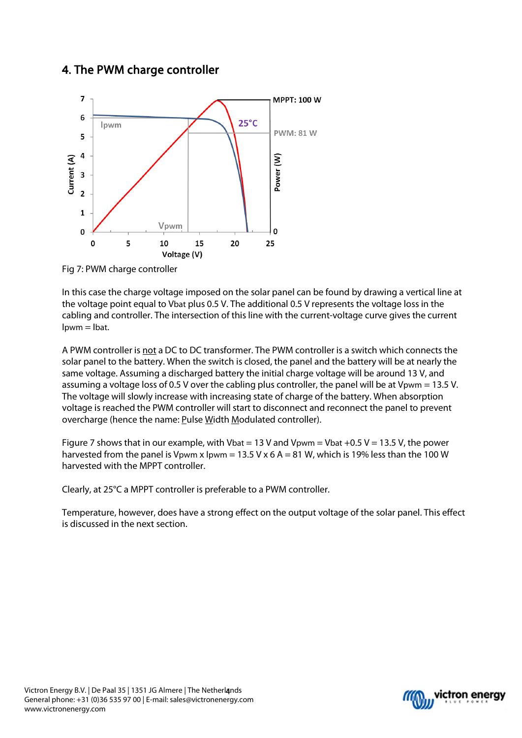# 4. The PWM charge controller



Fig 7: PWM charge controller

In this case the charge voltage imposed on the solar panel can be found by drawing a vertical line at the voltage point equal to Vbat plus 0.5 V. The additional 0.5 V represents the voltage loss in the cabling and controller. The intersection of this line with the current-voltage curve gives the current  $I$ <sub>pwm</sub>  $=$   $I$ <sub>bat</sub>.

A PWM controller is not a DC to DC transformer. The PWM controller is a switch which connects the solar panel to the battery. When the switch is closed, the panel and the battery will be at nearly the same voltage. Assuming a discharged battery the initial charge voltage will be around 13 V, and assuming a voltage loss of 0.5 V over the cabling plus controller, the panel will be at Vpwm = 13.5 V. The voltage will slowly increase with increasing state of charge of the battery. When absorption voltage is reached the PWM controller will start to disconnect and reconnect the panel to prevent overcharge (hence the name: Pulse Width Modulated controller).

Figure 7 shows that in our example, with Vbat = 13 V and Vpwm = Vbat +0.5 V = 13.5 V, the power harvested from the panel is Vpwm x Ipwm = 13.5 V x 6 A = 81 W, which is 19% less than the 100 W harvested with the MPPT controller.

Clearly, at 25°C a MPPT controller is preferable to a PWM controller.

Temperature, however, does have a strong effect on the output voltage of the solar panel. This effect is discussed in the next section.

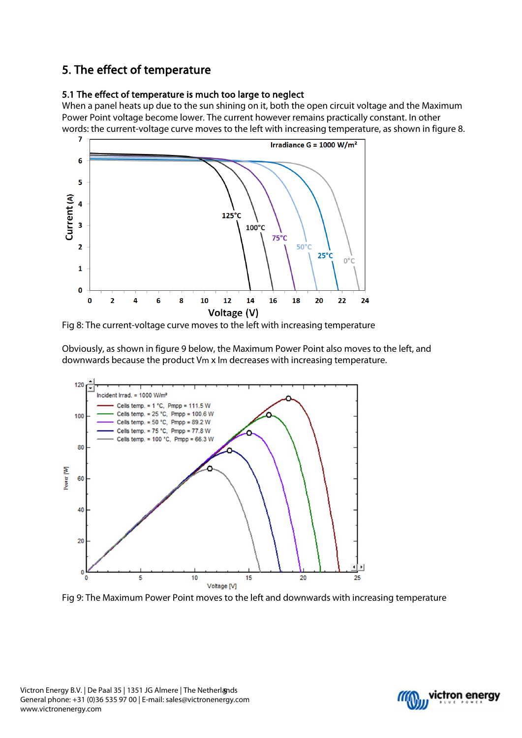# 5. The effect of temperature

## 5.1 The effect of temperature is much too large to neglect

When a panel heats up due to the sun shining on it, both the open circuit voltage and the Maximum Power Point voltage become lower. The current however remains practically constant. In other words: the current-voltage curve moves to the left with increasing temperature, as shown in figure 8.



Fig 8: The current-voltage curve moves to the left with increasing temperature

Obviously, as shown in figure 9 below, the Maximum Power Point also moves to the left, and downwards because the product Vm x Im decreases with increasing temperature.



Fig 9: The Maximum Power Point moves to the left and downwards with increasing temperature

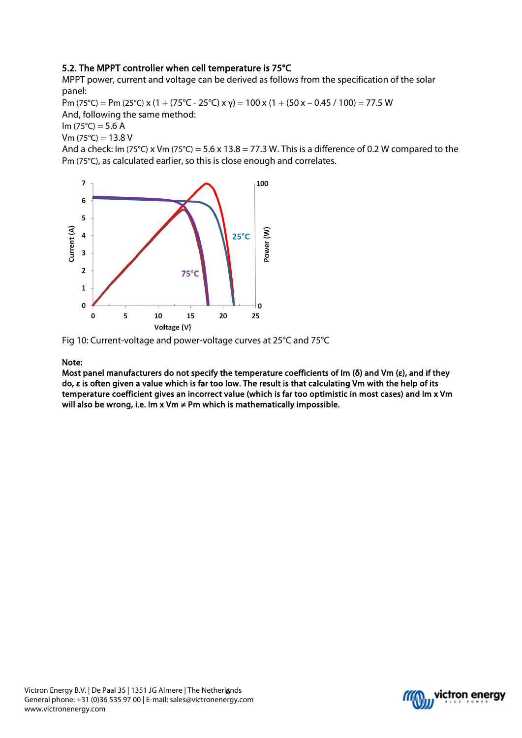## 5.2. The MPPT controller when cell temperature is 75°C

MPPT power, current and voltage can be derived as follows from the specification of the solar panel:

Pm (75°C) = Pm (25°C) x (1 + (75°C - 25°C) x y) = 100 x (1 + (50 x – 0.45 / 100) = 77.5 W And, following the same method:

 $Im (75^{\circ}C) = 5.6 A$ 

 $Vm (75°C) = 13.8 V$ 

And a check: Im (75°C) x Vm (75°C) = 5.6 x 13.8 = 77.3 W. This is a difference of 0.2 W compared to the Pm (75°C), as calculated earlier, so this is close enough and correlates.



Fig 10: Current-voltage and power-voltage curves at 25°C and 75°C

#### Note:

Most panel manufacturers do not specify the temperature coefficients of Im (δ) and Vm (ε), and if they do, ε is often given a value which is far too low. The result is that calculating Vm with the help of its temperature coefficient gives an incorrect value (which is far too optimistic in most cases) and Im x Vm will also be wrong, i.e. Im x Vm  $\neq$  Pm which is mathematically impossible.

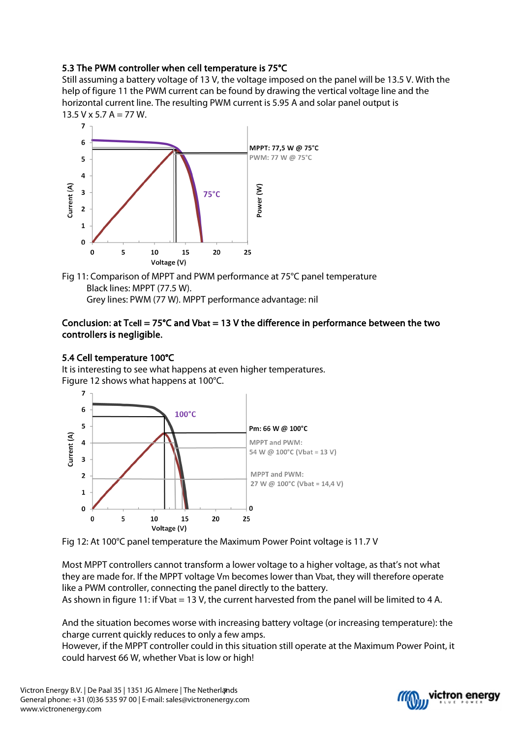## 5.3 The PWM controller when cell temperature is 75°C

Still assuming a battery voltage of 13 V, the voltage imposed on the panel will be 13.5 V. With the help of figure 11 the PWM current can be found by drawing the vertical voltage line and the horizontal current line. The resulting PWM current is 5.95 A and solar panel output is  $13.5$  V x 5.7 A = 77 W.



Fig 11: Comparison of MPPT and PWM performance at 75°C panel temperature Black lines: MPPT (77.5 W). Grey lines: PWM (77 W). MPPT performance advantage: nil

### Conclusion: at Tcell =  $75^{\circ}$ C and Vbat = 13 V the difference in performance between the two controllers is negligible.

### 5.4 Cell temperature 100°C

It is interesting to see what happens at even higher temperatures. Figure 12 shows what happens at 100°C.





Most MPPT controllers cannot transform a lower voltage to a higher voltage, as that's not what they are made for. If the MPPT voltage Vm becomes lower than Vbat, they will therefore operate like a PWM controller, connecting the panel directly to the battery. As shown in figure 11: if Vbat = 13 V, the current harvested from the panel will be limited to 4 A.

And the situation becomes worse with increasing battery voltage (or increasing temperature): the charge current quickly reduces to only a few amps.

However, if the MPPT controller could in this situation still operate at the Maximum Power Point, it could harvest 66 W, whether Vbat is low or high!

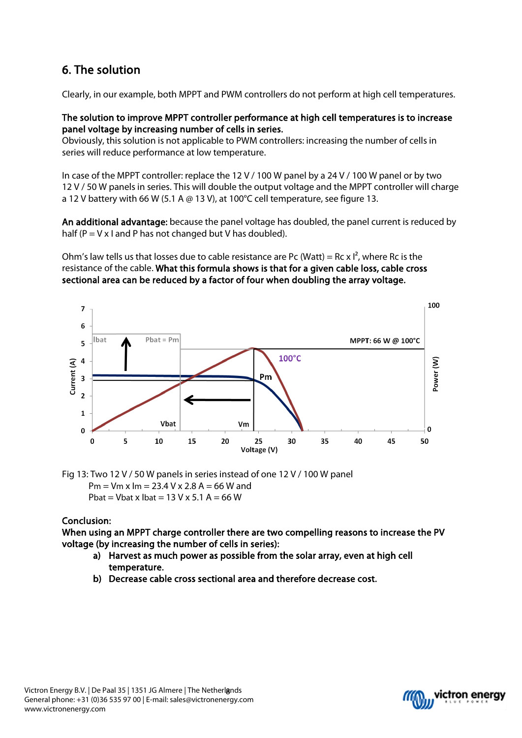# 6. The solution

Clearly, in our example, both MPPT and PWM controllers do not perform at high cell temperatures.

### The solution to improve MPPT controller performance at high cell temperatures is to increase panel voltage by increasing number of cells in series.

Obviously, this solution is not applicable to PWM controllers: increasing the number of cells in series will reduce performance at low temperature.

In case of the MPPT controller: replace the 12 V / 100 W panel by a 24 V / 100 W panel or by two 12 V / 50 W panels in series. This will double the output voltage and the MPPT controller will charge a 12 V battery with 66 W (5.1 A  $\omega$  13 V), at 100°C cell temperature, see figure 13.

An additional advantage: because the panel voltage has doubled, the panel current is reduced by half ( $P = V \times I$  and P has not changed but V has doubled).

Ohm's law tells us that losses due to cable resistance are Pc (Watt) = Rc x  $I^2$ , where Rc is the resistance of the cable. What this formula shows is that for a given cable loss, cable cross sectional area can be reduced by a factor of four when doubling the array voltage.



Fig 13: Two 12 V / 50 W panels in series instead of one 12 V / 100 W panel  $Pm = Vm x Im = 23.4 V x 2.8 A = 66 W and$ Phat  $=$  Vhat x Ibat  $=$  13 V x 5.1 A  $=$  66 W

# Conclusion:

When using an MPPT charge controller there are two compelling reasons to increase the PV voltage (by increasing the number of cells in series):

- a) Harvest as much power as possible from the solar array, even at high cell temperature.
- b) Decrease cable cross sectional area and therefore decrease cost.

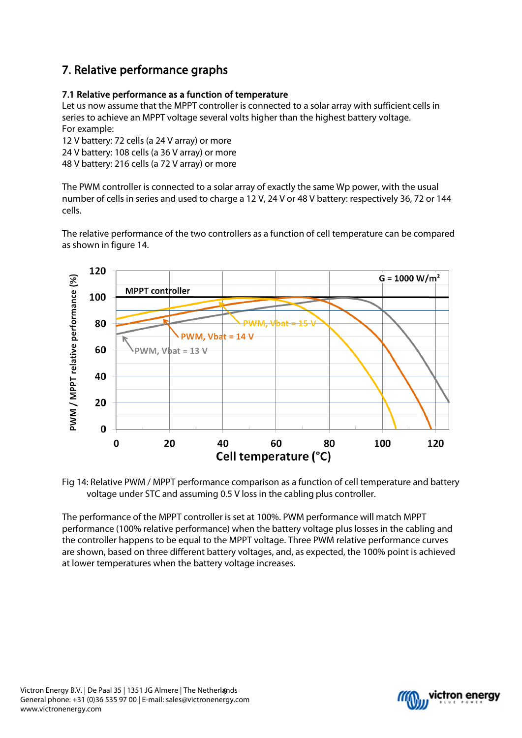# 7. Relative performance graphs

## 7.1 Relative performance as a function of temperature

Let us now assume that the MPPT controller is connected to a solar array with sufficient cells in series to achieve an MPPT voltage several volts higher than the highest battery voltage. For example:

12 V battery: 72 cells (a 24 V array) or more

24 V battery: 108 cells (a 36 V array) or more

48 V battery: 216 cells (a 72 V array) or more

The PWM controller is connected to a solar array of exactly the same Wp power, with the usual number of cells in series and used to charge a 12 V, 24 V or 48 V battery: respectively 36, 72 or 144 cells.

The relative performance of the two controllers as a function of cell temperature can be compared as shown in figure 14.



Fig 14: Relative PWM / MPPT performance comparison as a function of cell temperature and battery voltage under STC and assuming 0.5 V loss in the cabling plus controller.

The performance of the MPPT controller is set at 100%. PWM performance will match MPPT performance (100% relative performance) when the battery voltage plus losses in the cabling and the controller happens to be equal to the MPPT voltage. Three PWM relative performance curves are shown, based on three different battery voltages, and, as expected, the 100% point is achieved at lower temperatures when the battery voltage increases.

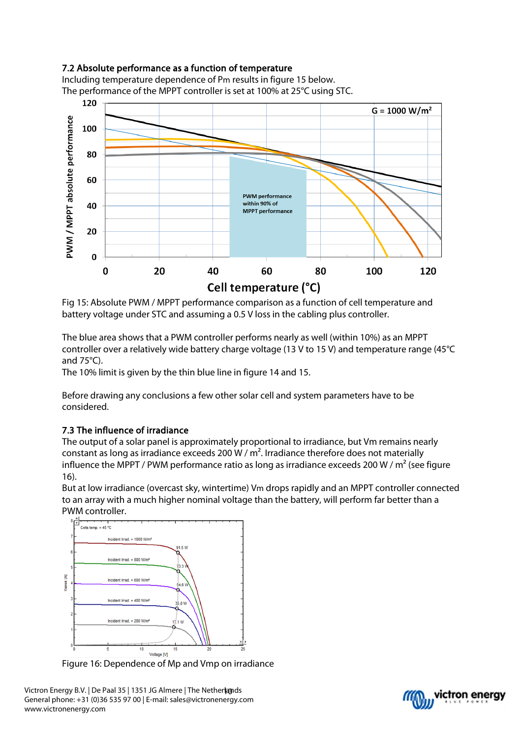## 7.2 Absolute performance as a function of temperature

Including temperature dependence of Pm results in figure 15 below. The performance of the MPPT controller is set at 100% at 25°C using STC.



Fig 15: Absolute PWM / MPPT performance comparison as a function of cell temperature and battery voltage under STC and assuming a 0.5 V loss in the cabling plus controller.

The blue area shows that a PWM controller performs nearly as well (within 10%) as an MPPT controller over a relatively wide battery charge voltage (13 V to 15 V) and temperature range (45°C and 75°C).

The 10% limit is given by the thin blue line in figure 14 and 15.

Before drawing any conclusions a few other solar cell and system parameters have to be considered.

## 7.3 The influence of irradiance

The output of a solar panel is approximately proportional to irradiance, but Vm remains nearly constant as long as irradiance exceeds 200 W /  $m<sup>2</sup>$ . Irradiance therefore does not materially influence the MPPT / PWM performance ratio as long as irradiance exceeds 200 W /  $m^2$  (see figure 16).

But at low irradiance (overcast sky, wintertime) Vm drops rapidly and an MPPT controller connected to an array with a much higher nominal voltage than the battery, will perform far better than a PWM controller.



Figure 16: Dependence of Mp and Vmp on irradiance

Victron Energy B.V. | De Paal 35 | 1351 JG Almere | The Netherlands General phone: +31 (0)36 535 97 00 | E-mail: sales@victronenergy.com www.victronenergy.com

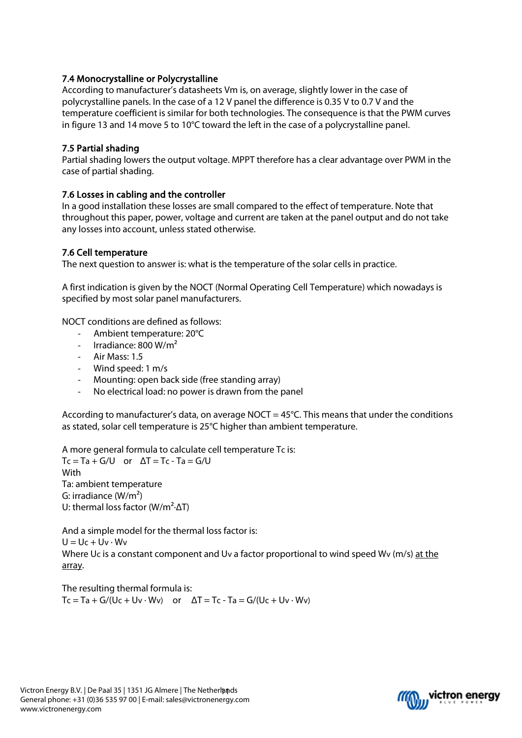## 7.4 Monocrystalline or Polycrystalline

According to manufacturer's datasheets Vm is, on average, slightly lower in the case of polycrystalline panels. In the case of a 12 V panel the difference is 0.35 V to 0.7 V and the temperature coefficient is similar for both technologies. The consequence is that the PWM curves in figure 13 and 14 move 5 to 10°C toward the left in the case of a polycrystalline panel.

### 7.5 Partial shading

Partial shading lowers the output voltage. MPPT therefore has a clear advantage over PWM in the case of partial shading.

### 7.6 Losses in cabling and the controller

In a good installation these losses are small compared to the effect of temperature. Note that throughout this paper, power, voltage and current are taken at the panel output and do not take any losses into account, unless stated otherwise.

### 7.6 Cell temperature

The next question to answer is: what is the temperature of the solar cells in practice.

A first indication is given by the NOCT (Normal Operating Cell Temperature) which nowadays is specified by most solar panel manufacturers.

NOCT conditions are defined as follows:

- Ambient temperature: 20°C
- Irradiance: 800 W/ $m^2$
- Air Mass: 1.5
- Wind speed: 1 m/s
- Mounting: open back side (free standing array)
- No electrical load: no power is drawn from the panel

According to manufacturer's data, on average NOCT =  $45^{\circ}$ C. This means that under the conditions as stated, solar cell temperature is 25°C higher than ambient temperature.

A more general formula to calculate cell temperature Tc is:  $Tc = Ta + G/U$  or  $\Delta T = Tc - Ta = G/U$ **With** Ta: ambient temperature G: irradiance  $(W/m<sup>2</sup>)$ 

U: thermal loss factor ( $W/m^2$ - $\Delta T$ )

And a simple model for the thermal loss factor is:  $U = Uc + Uv \cdot Wv$ Where Uc is a constant component and Uv a factor proportional to wind speed Wv (m/s) at the array.

The resulting thermal formula is:  $Tc = Ta + G/(Uc + Uv \cdot Wv)$  or  $\Delta T = Tc - Ta = G/(Uc + Uv \cdot Wv)$ 

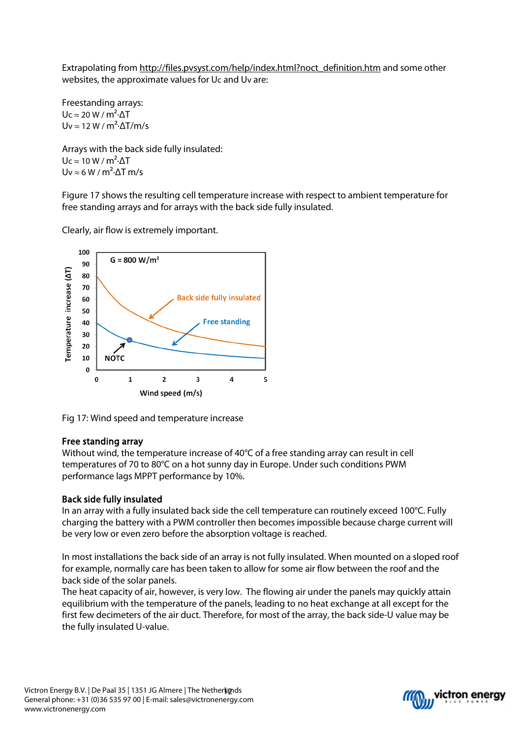Extrapolating from [http://files.pvsyst.com/help/index.html?noct\\_definition.htm](http://files.pvsyst.com/help/index.html?noct_definition.htm) and some other websites, the approximate values for Uc and Uv are:

Freestanding arrays:  $Uc \approx 20 W/m^2 \Delta T$ Uv  $\approx$  12 W / m<sup>2</sup> $\cdot$   $\Delta$ T/m/s

Arrays with the back side fully insulated:  $Uc \approx 10 W/m^2 \cdot \Delta T$  $Uv \approx 6 W/m^2 \cdot \Delta T m/s$ 

Figure 17 shows the resulting cell temperature increase with respect to ambient temperature for free standing arrays and for arrays with the back side fully insulated.

100  $G = 800 W/m<sup>2</sup>$ 90 Temperature increase (AT) 80  $70$ **Back side fully insulated** 60 50 40 **Free standing** 

Clearly, air flow is extremely important.



 $\overline{2}$ 

Wind speed (m/s)

 $\overline{\mathbf{3}}$ 

### Free standing array

**NOTC** 

 $\overline{\mathbf{1}}$ 

30  $20$ 

 $10$  $\Omega$ 

 $\mathbf 0$ 

Without wind, the temperature increase of 40°C of a free standing array can result in cell temperatures of 70 to 80°C on a hot sunny day in Europe. Under such conditions PWM performance lags MPPT performance by 10%.

 $\overline{4}$ 

 $\overline{5}$ 

#### Back side fully insulated

In an array with a fully insulated back side the cell temperature can routinely exceed 100°C. Fully charging the battery with a PWM controller then becomes impossible because charge current will be very low or even zero before the absorption voltage is reached.

In most installations the back side of an array is not fully insulated. When mounted on a sloped roof for example, normally care has been taken to allow for some air flow between the roof and the back side of the solar panels.

The heat capacity of air, however, is very low. The flowing air under the panels may quickly attain equilibrium with the temperature of the panels, leading to no heat exchange at all except for the first few decimeters of the air duct. Therefore, for most of the array, the back side-U value may be the fully insulated U-value.

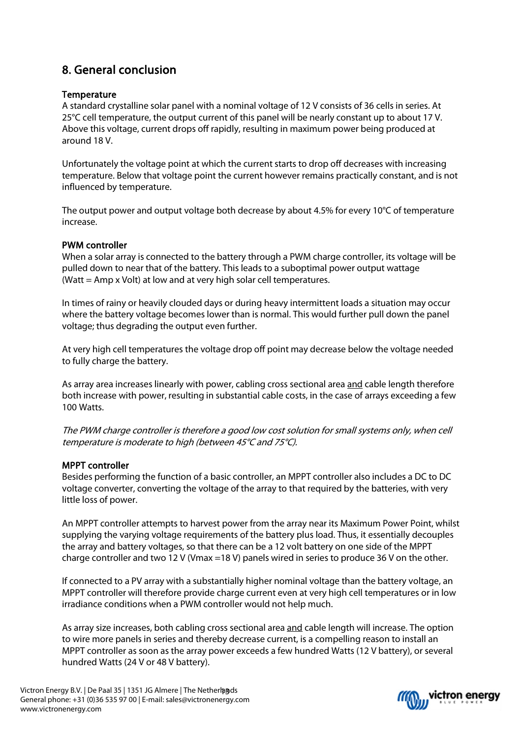# 8. General conclusion

### **Temperature**

A standard crystalline solar panel with a nominal voltage of 12 V consists of 36 cells in series. At 25°C cell temperature, the output current of this panel will be nearly constant up to about 17 V. Above this voltage, current drops off rapidly, resulting in maximum power being produced at around 18 V.

Unfortunately the voltage point at which the current starts to drop off decreases with increasing temperature. Below that voltage point the current however remains practically constant, and is not influenced by temperature.

The output power and output voltage both decrease by about 4.5% for every 10°C of temperature increase.

### PWM controller

When a solar array is connected to the battery through a PWM charge controller, its voltage will be pulled down to near that of the battery. This leads to a suboptimal power output wattage (Watt = Amp x Volt) at low and at very high solar cell temperatures.

In times of rainy or heavily clouded days or during heavy intermittent loads a situation may occur where the battery voltage becomes lower than is normal. This would further pull down the panel voltage; thus degrading the output even further.

At very high cell temperatures the voltage drop off point may decrease below the voltage needed to fully charge the battery.

As array area increases linearly with power, cabling cross sectional area and cable length therefore both increase with power, resulting in substantial cable costs, in the case of arrays exceeding a few 100 Watts.

The PWM charge controller is therefore a good low cost solution for small systems only, when cell temperature is moderate to high (between 45°C and 75°C).

### MPPT controller

Besides performing the function of a basic controller, an MPPT controller also includes a DC to DC voltage converter, converting the voltage of the array to that required by the batteries, with very little loss of power.

An MPPT controller attempts to harvest power from the array near its Maximum Power Point, whilst supplying the varying voltage requirements of the battery plus load. Thus, it essentially decouples the array and battery voltages, so that there can be a 12 volt battery on one side of the MPPT charge controller and two 12 V (Vmax =18 V) panels wired in series to produce 36 V on the other.

If connected to a PV array with a substantially higher nominal voltage than the battery voltage, an MPPT controller will therefore provide charge current even at very high cell temperatures or in low irradiance conditions when a PWM controller would not help much.

As array size increases, both cabling cross sectional area and cable length will increase. The option to wire more panels in series and thereby decrease current, is a compelling reason to install an MPPT controller as soon as the array power exceeds a few hundred Watts (12 V battery), or several hundred Watts (24 V or 48 V battery).